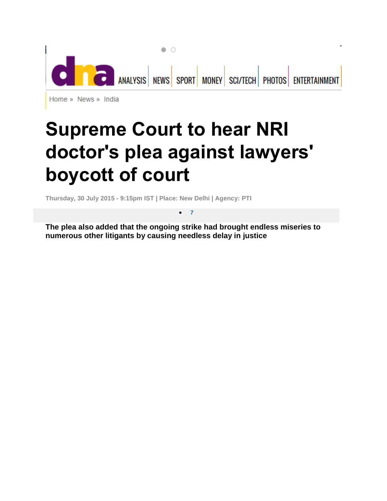

## **Supreme Court to hear NRI doctor's plea against lawyers' boycott of court**

**Thursday, 30 July 2015 - 9:15pm IST | Place: New Delhi | Agency: PTI**

**The plea also added that the ongoing strike had brought endless miseries to numerous other litigants by causing needless delay in justice**

**7**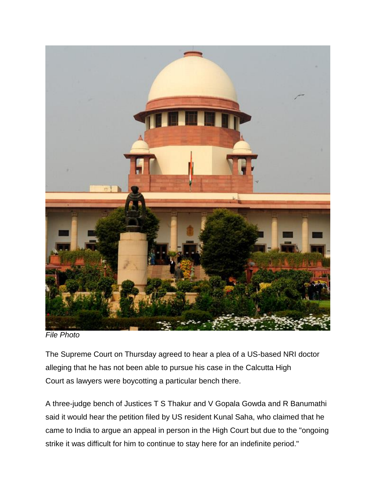

*File Photo*

The [Supreme](http://www.dnaindia.com/topic/supreme-court) Court on Thursday agreed to hear a plea of a US-based NRI doctor alleging that he has not been able to pursue his case in the [Calcutta](http://www.dnaindia.com/topic/calcutta-high-court) High [Court](http://www.dnaindia.com/topic/calcutta-high-court) as [lawyers](http://www.dnaindia.com/topic/lawyers) were boycotting a particular bench there.

A three-judge bench of Justices T S Thakur and V Gopala Gowda and R Banumathi said it would hear the petition filed by US resident Kunal Saha, who claimed that he came to India to argue an appeal in person in the High Court but due to the "ongoing strike it was difficult for him to continue to stay here for an indefinite period."